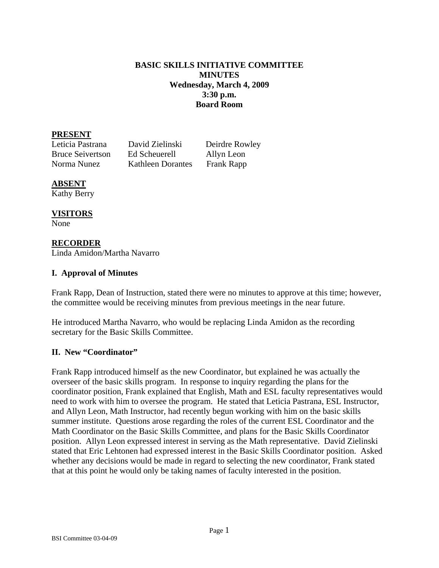### **BASIC SKILLS INITIATIVE COMMITTEE MINUTES Wednesday, March 4, 2009 3:30 p.m. Board Room**

### **PRESENT**

Leticia Pastrana David Zielinski Deirdre Rowley Bruce Seivertson Ed Scheuerell Allyn Leon Norma Nunez Kathleen Dorantes Frank Rapp

# **ABSENT**

Kathy Berry

# **VISITORS**

None

# **RECORDER**

Linda Amidon/Martha Navarro

# **I. Approval of Minutes**

Frank Rapp, Dean of Instruction, stated there were no minutes to approve at this time; however, the committee would be receiving minutes from previous meetings in the near future.

He introduced Martha Navarro, who would be replacing Linda Amidon as the recording secretary for the Basic Skills Committee.

# **II. New "Coordinator"**

Frank Rapp introduced himself as the new Coordinator, but explained he was actually the overseer of the basic skills program. In response to inquiry regarding the plans for the coordinator position, Frank explained that English, Math and ESL faculty representatives would need to work with him to oversee the program. He stated that Leticia Pastrana, ESL Instructor, and Allyn Leon, Math Instructor, had recently begun working with him on the basic skills summer institute. Questions arose regarding the roles of the current ESL Coordinator and the Math Coordinator on the Basic Skills Committee, and plans for the Basic Skills Coordinator position. Allyn Leon expressed interest in serving as the Math representative. David Zielinski stated that Eric Lehtonen had expressed interest in the Basic Skills Coordinator position. Asked whether any decisions would be made in regard to selecting the new coordinator, Frank stated that at this point he would only be taking names of faculty interested in the position.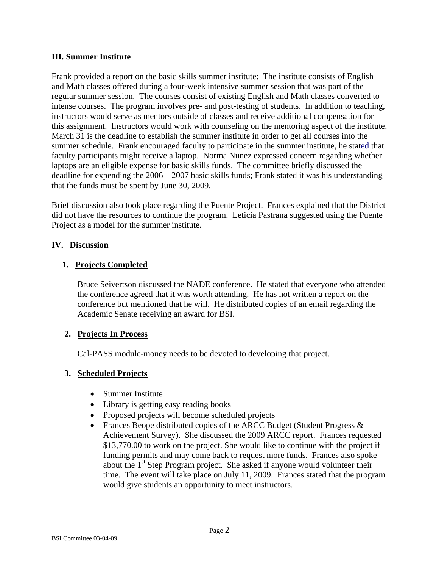### **III. Summer Institute**

Frank provided a report on the basic skills summer institute: The institute consists of English and Math classes offered during a four-week intensive summer session that was part of the regular summer session. The courses consist of existing English and Math classes converted to intense courses. The program involves pre- and post-testing of students. In addition to teaching, instructors would serve as mentors outside of classes and receive additional compensation for this assignment. Instructors would work with counseling on the mentoring aspect of the institute. March 31 is the deadline to establish the summer institute in order to get all courses into the summer schedule. Frank encouraged faculty to participate in the summer institute, he stated that faculty participants might receive a laptop. Norma Nunez expressed concern regarding whether laptops are an eligible expense for basic skills funds. The committee briefly discussed the deadline for expending the 2006 – 2007 basic skills funds; Frank stated it was his understanding that the funds must be spent by June 30, 2009.

Brief discussion also took place regarding the Puente Project. Frances explained that the District did not have the resources to continue the program. Leticia Pastrana suggested using the Puente Project as a model for the summer institute.

### **IV. Discussion**

# **1. Projects Completed**

Bruce Seivertson discussed the NADE conference. He stated that everyone who attended the conference agreed that it was worth attending. He has not written a report on the conference but mentioned that he will. He distributed copies of an email regarding the Academic Senate receiving an award for BSI.

# **2. Projects In Process**

Cal-PASS module-money needs to be devoted to developing that project.

### **3. Scheduled Projects**

- Summer Institute
- Library is getting easy reading books
- Proposed projects will become scheduled projects
- Frances Beope distributed copies of the ARCC Budget (Student Progress  $\&$ Achievement Survey). She discussed the 2009 ARCC report. Frances requested \$13,770.00 to work on the project. She would like to continue with the project if funding permits and may come back to request more funds. Frances also spoke about the 1<sup>st</sup> Step Program project. She asked if anyone would volunteer their time. The event will take place on July 11, 2009. Frances stated that the program would give students an opportunity to meet instructors.